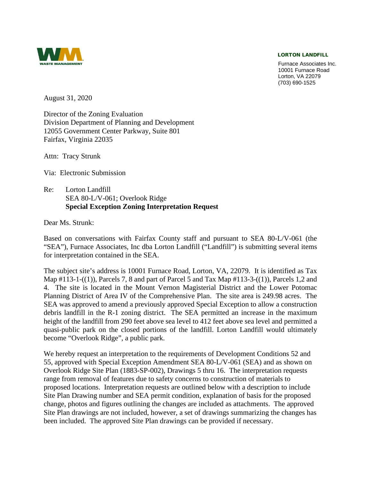#### LORTON LANDFILL



 Lorton, VA 22079 Furnace Associates Inc. 10001 Furnace Road (703) 690-1525

August 31, 2020

Director of the Zoning Evaluation Division Department of Planning and Development 12055 Government Center Parkway, Suite 801 Fairfax, Virginia 22035

Attn: Tracy Strunk

Via: Electronic Submission

 $Re:$  SEA 80-L/V-061; Overlook Ridge Lorton Landfill **Special Exception Zoning Interpretation Request** 

Dear Ms. Strunk:

 Based on conversations with Fairfax County staff and pursuant to SEA 80-L/V-061 (the for interpretation contained in the SEA. "SEA"), Furnace Associates, Inc dba Lorton Landfill ("Landfill") is submitting several items

 The subject site's address is 10001 Furnace Road, Lorton, VA, 22079. It is identified as Tax Planning District of Area IV of the Comprehensive Plan. The site area is 249.98 acres. The Map #113-1-((1)), Parcels 7, 8 and part of Parcel 5 and Tax Map #113-3-((1)), Parcels 1,2 and 4. The site is located in the Mount Vernon Magisterial District and the Lower Potomac SEA was approved to amend a previously approved Special Exception to allow a construction debris landfill in the R-1 zoning district. The SEA permitted an increase in the maximum height of the landfill from 290 feet above sea level to 412 feet above sea level and permitted a quasi-public park on the closed portions of the landfill. Lorton Landfill would ultimately become "Overlook Ridge", a public park.

We hereby request an interpretation to the requirements of Development Conditions 52 and 55, approved with Special Exception Amendment SEA 80-L/V-061 (SEA) and as shown on Overlook Ridge Site Plan (1883-SP-002), Drawings 5 thru 16. The interpretation requests range from removal of features due to safety concerns to construction of materials to proposed locations. Interpretation requests are outlined below with a description to include Site Plan Drawing number and SEA permit condition, explanation of basis for the proposed change, photos and figures outlining the changes are included as attachments. The approved Site Plan drawings are not included, however, a set of drawings summarizing the changes has been included. The approved Site Plan drawings can be provided if necessary.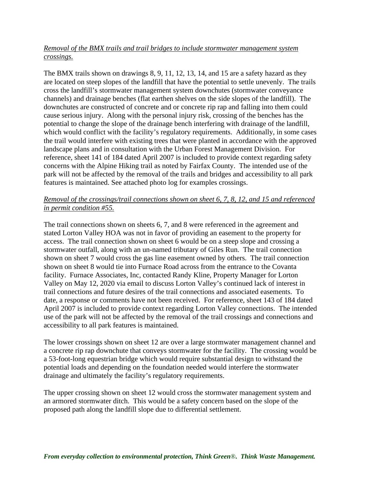## *crossings. Removal of the BMX trails and trail bridges to include stormwater management system*

 are located on steep slopes of the landfill that have the potential to settle unevenly. The trails channels) and drainage benches (flat earthen shelves on the side slopes of the landfill). The cause serious injury. Along with the personal injury risk, crossing of the benches has the the trail would interfere with existing trees that were planted in accordance with the approved park will not be affected by the removal of the trails and bridges and accessibility to all park The BMX trails shown on drawings 8, 9, 11, 12, 13, 14, and 15 are a safety hazard as they cross the landfill's stormwater management system downchutes (stormwater conveyance downchutes are constructed of concrete and or concrete rip rap and falling into them could potential to change the slope of the drainage bench interfering with drainage of the landfill, which would conflict with the facility's regulatory requirements. Additionally, in some cases landscape plans and in consultation with the Urban Forest Management Division. For reference, sheet 141 of 184 dated April 2007 is included to provide context regarding safety concerns with the Alpine Hiking trail as noted by Fairfax County. The intended use of the features is maintained. See attached photo log for examples crossings.

## *Removal of the crossings/trail connections shown on sheet 6, 7, 8, 12, and 15 and referenced in permit condition #55.*

 access. The trail connection shown on sheet 6 would be on a steep slope and crossing a facility. Furnace Associates, Inc, contacted Randy Kline, Property Manager for Lorton trail connections and future desires of the trail connections and associated easements. To date, a response or comments have not been received. For reference, sheet 143 of 184 dated April 2007 is included to provide context regarding Lorton Valley connections. The intended The trail connections shown on sheets 6, 7, and 8 were referenced in the agreement and stated Lorton Valley HOA was not in favor of providing an easement to the property for stormwater outfall, along with an un-named tributary of Giles Run. The trail connection shown on sheet 7 would cross the gas line easement owned by others. The trail connection shown on sheet 8 would tie into Furnace Road across from the entrance to the Covanta Valley on May 12, 2020 via email to discuss Lorton Valley's continued lack of interest in use of the park will not be affected by the removal of the trail crossings and connections and accessibility to all park features is maintained.

 a concrete rip rap downchute that conveys stormwater for the facility. The crossing would be The lower crossings shown on sheet 12 are over a large stormwater management channel and a 53-foot-long equestrian bridge which would require substantial design to withstand the potential loads and depending on the foundation needed would interfere the stormwater drainage and ultimately the facility's regulatory requirements.

 an armored stormwater ditch. This would be a safety concern based on the slope of the The upper crossing shown on sheet 12 would cross the stormwater management system and proposed path along the landfill slope due to differential settlement.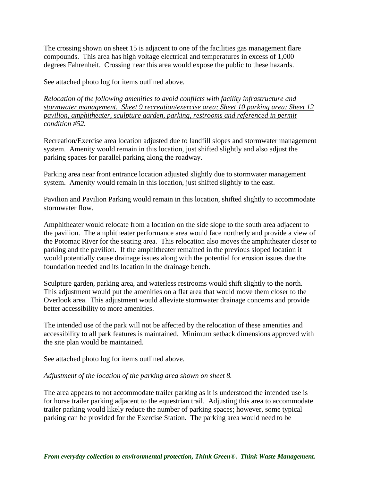The crossing shown on sheet 15 is adjacent to one of the facilities gas management flare compounds. This area has high voltage electrical and temperatures in excess of 1,000 degrees Fahrenheit. Crossing near this area would expose the public to these hazards.

See attached photo log for items outlined above.

 *stormwater management. Sheet 9 recreation/exercise area; Sheet 10 parking area; Sheet 12 Relocation of the following amenities to avoid conflicts with facility infrastructure and pavilion, amphitheater, sculpture garden, parking, restrooms and referenced in permit condition #52.* 

Recreation/Exercise area location adjusted due to landfill slopes and stormwater management system. Amenity would remain in this location, just shifted slightly and also adjust the parking spaces for parallel parking along the roadway.

Parking area near front entrance location adjusted slightly due to stormwater management system. Amenity would remain in this location, just shifted slightly to the east.

Pavilion and Pavilion Parking would remain in this location, shifted slightly to accommodate stormwater flow.

 Amphitheater would relocate from a location on the side slope to the south area adjacent to parking and the pavilion. If the amphitheater remained in the previous sloped location it the pavilion. The amphitheater performance area would face northerly and provide a view of the Potomac River for the seating area. This relocation also moves the amphitheater closer to would potentially cause drainage issues along with the potential for erosion issues due the foundation needed and its location in the drainage bench.

Sculpture garden, parking area, and waterless restrooms would shift slightly to the north. This adjustment would put the amenities on a flat area that would move them closer to the Overlook area. This adjustment would alleviate stormwater drainage concerns and provide better accessibility to more amenities.

 accessibility to all park features is maintained. Minimum setback dimensions approved with The intended use of the park will not be affected by the relocation of these amenities and the site plan would be maintained.

See attached photo log for items outlined above.

# *Adjustment of the location of the parking area shown on sheet 8.*

 for horse trailer parking adjacent to the equestrian trail. Adjusting this area to accommodate The area appears to not accommodate trailer parking as it is understood the intended use is trailer parking would likely reduce the number of parking spaces; however, some typical parking can be provided for the Exercise Station. The parking area would need to be